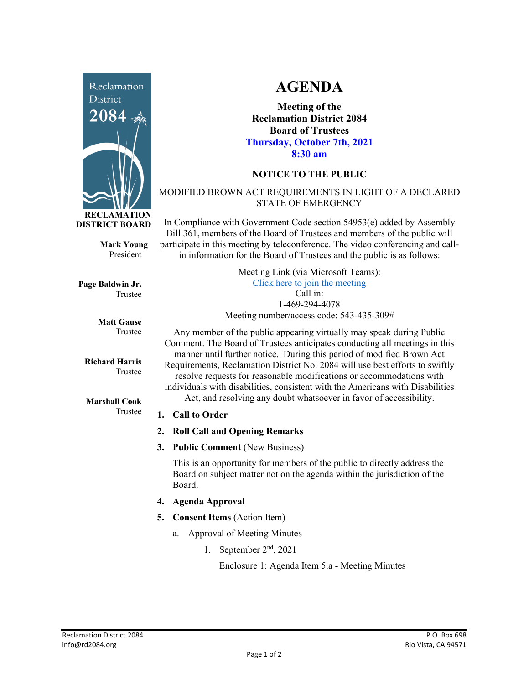

**Mark Young** President

**Page Baldwin Jr.** Trustee

> **Matt Gause** Trustee

**Richard Harris** Trustee

**Marshall Cook** Trustee

## **AGENDA**

**Meeting of the Reclamation District 2084 Board of Trustees Thursday, October 7th, 2021 8:30 am**

## **NOTICE TO THE PUBLIC**

## MODIFIED BROWN ACT REQUIREMENTS IN LIGHT OF A DECLARED STATE OF EMERGENCY

In Compliance with Government Code section 54953(e) added by Assembly Bill 361, members of the Board of Trustees and members of the public will participate in this meeting by teleconference. The video conferencing and callin information for the Board of Trustees and the public is as follows:

> Meeting Link (via Microsoft Teams): [Click here to join the meeting](https://teams.microsoft.com/l/meetup-join/19%3ameeting_Y2UyNWRiYzQtYWY2Mi00MTlhLWI0NDQtMjUzYzk0OWU0NGFi%40thread.v2/0?context=%7b%22Tid%22%3a%22f9038203-c87c-4f0e-b326-970a381acd40%22%2c%22Oid%22%3a%22b6a515a8-4d0a-410e-b81a-1dc60ae8c01d%22%7d) Call in: 1-469-294-4078 Meeting number/access code: 543-435-309#

Any member of the public appearing virtually may speak during Public Comment. The Board of Trustees anticipates conducting all meetings in this manner until further notice. During this period of modified Brown Act Requirements, Reclamation District No. 2084 will use best efforts to swiftly resolve requests for reasonable modifications or accommodations with individuals with disabilities, consistent with the Americans with Disabilities Act, and resolving any doubt whatsoever in favor of accessibility.

### **1. Call to Order**

- **2. Roll Call and Opening Remarks**
- **3. Public Comment** (New Business)

This is an opportunity for members of the public to directly address the Board on subject matter not on the agenda within the jurisdiction of the Board.

- **4. Agenda Approval**
- **5. Consent Items** (Action Item)
	- a. Approval of Meeting Minutes
		- 1. September  $2<sup>nd</sup>$ , 2021

Enclosure 1: Agenda Item 5.a - Meeting Minutes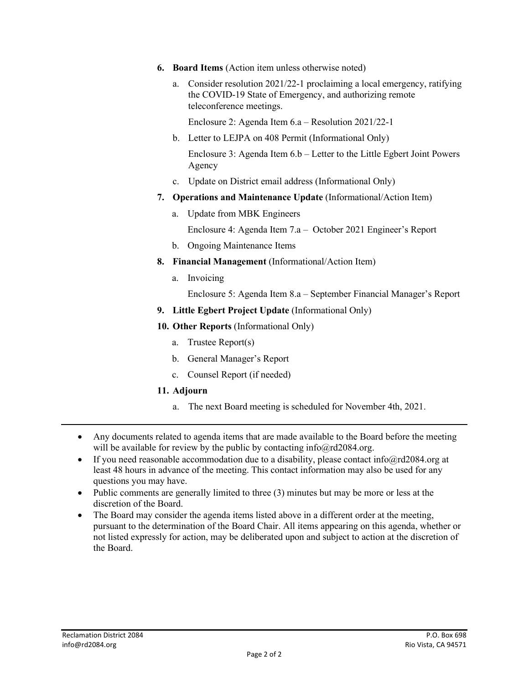- **6. Board Items** (Action item unless otherwise noted)
	- a. Consider resolution 2021/22-1 proclaiming a local emergency, ratifying the COVID-19 State of Emergency, and authorizing remote teleconference meetings.

Enclosure 2: Agenda Item 6.a – Resolution 2021/22-1

- b. Letter to LEJPA on 408 Permit (Informational Only) Enclosure 3: Agenda Item 6.b – Letter to the Little Egbert Joint Powers
- c. Update on District email address (Informational Only)
- **7. Operations and Maintenance Update** (Informational/Action Item)
	- a. Update from MBK Engineers

Enclosure 4: Agenda Item 7.a – October 2021 Engineer's Report

- b. Ongoing Maintenance Items
- **8. Financial Management** (Informational/Action Item)
	- a. Invoicing

Agency

- Enclosure 5: Agenda Item 8.a September Financial Manager's Report
- **9. Little Egbert Project Update** (Informational Only)
- **10. Other Reports** (Informational Only)
	- a. Trustee Report(s)
	- b. General Manager's Report
	- c. Counsel Report (if needed)

#### **11. Adjourn**

- a. The next Board meeting is scheduled for November 4th, 2021.
- Any documents related to agenda items that are made available to the Board before the meeting will be available for review by the public by contacting info@rd2084.org.
- If you need reasonable accommodation due to a disability, please contact info@rd2084.org at least 48 hours in advance of the meeting. This contact information may also be used for any questions you may have.
- Public comments are generally limited to three (3) minutes but may be more or less at the discretion of the Board.
- The Board may consider the agenda items listed above in a different order at the meeting, pursuant to the determination of the Board Chair. All items appearing on this agenda, whether or not listed expressly for action, may be deliberated upon and subject to action at the discretion of the Board.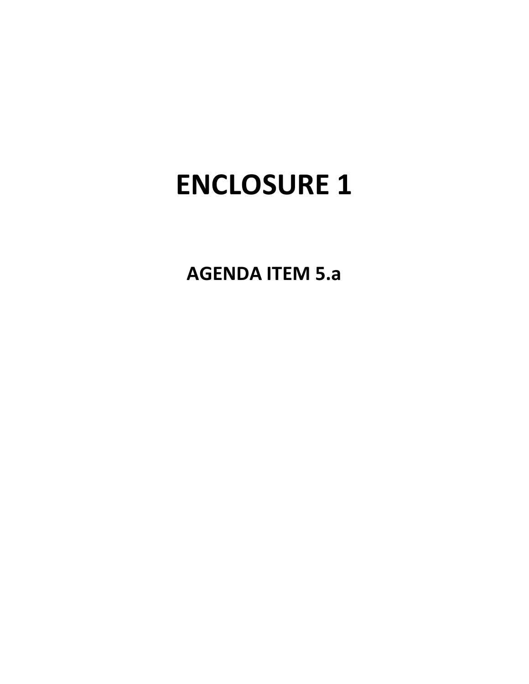**AGENDA ITEM 5.a**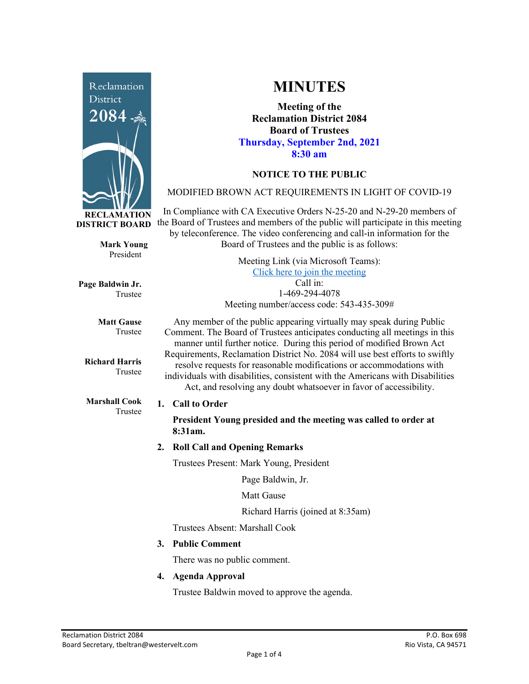

**Mark Young** President

Trustee

Trustee

**Matt Gause** Trustee

**Richard Harris**

**Marshall Cook** Trustee

**Page Baldwin Jr.**

**MINUTES**

**Meeting of the Reclamation District 2084 Board of Trustees Thursday, September 2nd, 2021 8:30 am**

## **NOTICE TO THE PUBLIC**

### MODIFIED BROWN ACT REQUIREMENTS IN LIGHT OF COVID-19

In Compliance with CA Executive Orders N-25-20 and N-29-20 members of the Board of Trustees and members of the public will participate in this meeting by teleconference. The video conferencing and call-in information for the Board of Trustees and the public is as follows:

> Meeting Link (via Microsoft Teams): [Click here to join the meeting](https://teams.microsoft.com/l/meetup-join/19%3ameeting_Y2UyNWRiYzQtYWY2Mi00MTlhLWI0NDQtMjUzYzk0OWU0NGFi%40thread.v2/0?context=%7b%22Tid%22%3a%22f9038203-c87c-4f0e-b326-970a381acd40%22%2c%22Oid%22%3a%22b6a515a8-4d0a-410e-b81a-1dc60ae8c01d%22%7d) Call in: 1-469-294-4078 Meeting number/access code: 543-435-309#

Any member of the public appearing virtually may speak during Public Comment. The Board of Trustees anticipates conducting all meetings in this manner until further notice. During this period of modified Brown Act Requirements, Reclamation District No. 2084 will use best efforts to swiftly resolve requests for reasonable modifications or accommodations with individuals with disabilities, consistent with the Americans with Disabilities Act, and resolving any doubt whatsoever in favor of accessibility.

### **1. Call to Order**

**President Young presided and the meeting was called to order at 8:31am.** 

### **2. Roll Call and Opening Remarks**

Trustees Present: Mark Young, President

Page Baldwin, Jr.

Matt Gause

Richard Harris (joined at 8:35am)

Trustees Absent: Marshall Cook

**3. Public Comment** 

There was no public comment.

**4. Agenda Approval**

Trustee Baldwin moved to approve the agenda.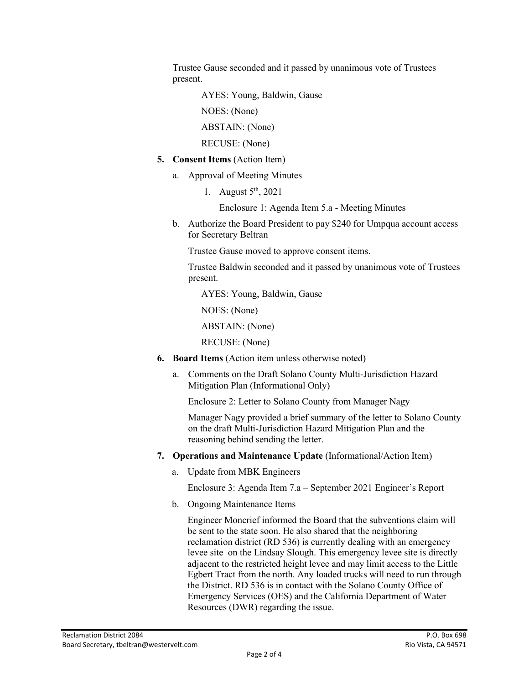Trustee Gause seconded and it passed by unanimous vote of Trustees present.

AYES: Young, Baldwin, Gause

NOES: (None)

ABSTAIN: (None)

RECUSE: (None)

- **5. Consent Items** (Action Item)
	- a. Approval of Meeting Minutes
		- 1. August  $5<sup>th</sup>$ , 2021

Enclosure 1: Agenda Item 5.a - Meeting Minutes

b. Authorize the Board President to pay \$240 for Umpqua account access for Secretary Beltran

Trustee Gause moved to approve consent items.

Trustee Baldwin seconded and it passed by unanimous vote of Trustees present.

AYES: Young, Baldwin, Gause

NOES: (None)

ABSTAIN: (None)

RECUSE: (None)

- **6. Board Items** (Action item unless otherwise noted)
	- a. Comments on the Draft Solano County Multi-Jurisdiction Hazard Mitigation Plan (Informational Only)

Enclosure 2: Letter to Solano County from Manager Nagy

Manager Nagy provided a brief summary of the letter to Solano County on the draft Multi-Jurisdiction Hazard Mitigation Plan and the reasoning behind sending the letter.

- **7. Operations and Maintenance Update** (Informational/Action Item)
	- a. Update from MBK Engineers

Enclosure 3: Agenda Item 7.a – September 2021 Engineer's Report

b. Ongoing Maintenance Items

Engineer Moncrief informed the Board that the subventions claim will be sent to the state soon. He also shared that the neighboring reclamation district (RD 536) is currently dealing with an emergency levee site on the Lindsay Slough. This emergency levee site is directly adjacent to the restricted height levee and may limit access to the Little Egbert Tract from the north. Any loaded trucks will need to run through the District. RD 536 is in contact with the Solano County Office of Emergency Services (OES) and the California Department of Water Resources (DWR) regarding the issue.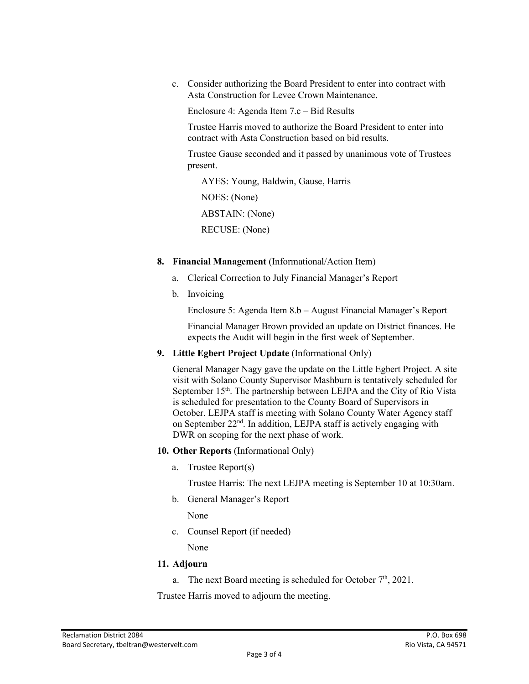c. Consider authorizing the Board President to enter into contract with Asta Construction for Levee Crown Maintenance.

Enclosure 4: Agenda Item 7.c – Bid Results

Trustee Harris moved to authorize the Board President to enter into contract with Asta Construction based on bid results.

Trustee Gause seconded and it passed by unanimous vote of Trustees present.

 AYES: Young, Baldwin, Gause, Harris NOES: (None) ABSTAIN: (None) RECUSE: (None)

- **8. Financial Management** (Informational/Action Item)
	- a. Clerical Correction to July Financial Manager's Report
	- b. Invoicing

Enclosure 5: Agenda Item 8.b – August Financial Manager's Report

Financial Manager Brown provided an update on District finances. He expects the Audit will begin in the first week of September.

**9. Little Egbert Project Update** (Informational Only)

General Manager Nagy gave the update on the Little Egbert Project. A site visit with Solano County Supervisor Mashburn is tentatively scheduled for September 15<sup>th</sup>. The partnership between LEJPA and the City of Rio Vista is scheduled for presentation to the County Board of Supervisors in October. LEJPA staff is meeting with Solano County Water Agency staff on September  $22<sup>nd</sup>$ . In addition, LEJPA staff is actively engaging with DWR on scoping for the next phase of work.

- **10. Other Reports** (Informational Only)
	- a. Trustee Report(s)

Trustee Harris: The next LEJPA meeting is September 10 at 10:30am.

b. General Manager's Report

None

c. Counsel Report (if needed)

None

#### **11. Adjourn**

a. The next Board meeting is scheduled for October  $7<sup>th</sup>$ , 2021.

Trustee Harris moved to adjourn the meeting.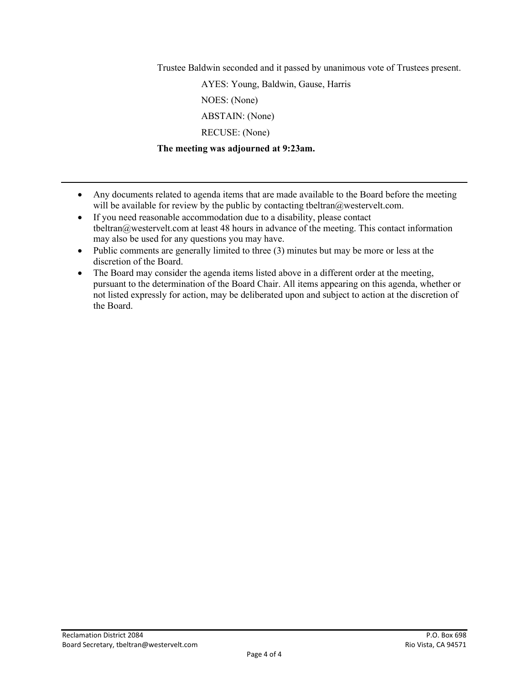Trustee Baldwin seconded and it passed by unanimous vote of Trustees present.

 AYES: Young, Baldwin, Gause, Harris NOES: (None) ABSTAIN: (None) RECUSE: (None)

**The meeting was adjourned at 9:23am.** 

- Any documents related to agenda items that are made available to the Board before the meeting will be available for review by the public by contacting tbeltran@westervelt.com.
- If you need reasonable accommodation due to a disability, please contact tbeltran@westervelt.com at least 48 hours in advance of the meeting. This contact information may also be used for any questions you may have.
- Public comments are generally limited to three (3) minutes but may be more or less at the discretion of the Board.
- The Board may consider the agenda items listed above in a different order at the meeting, pursuant to the determination of the Board Chair. All items appearing on this agenda, whether or not listed expressly for action, may be deliberated upon and subject to action at the discretion of the Board.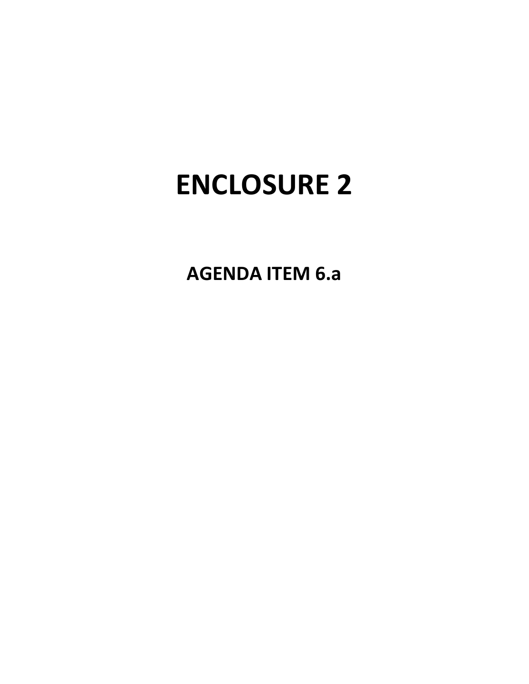**AGENDA ITEM 6.a**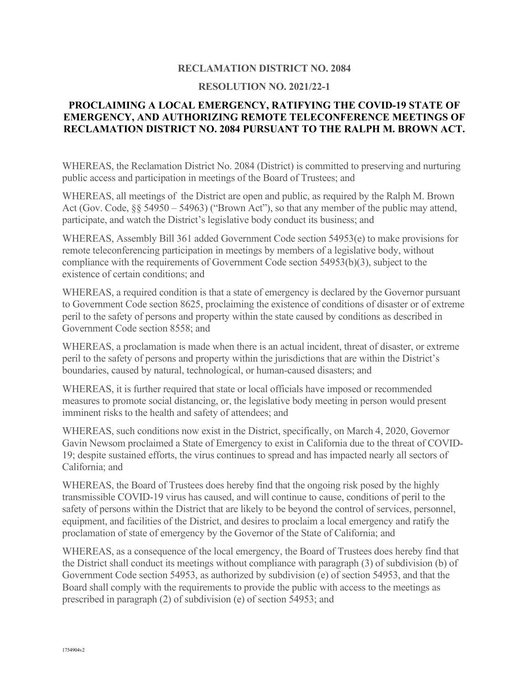### **RECLAMATION DISTRICT NO. 2084**

#### **RESOLUTION NO. 2021/22-1**

### **PROCLAIMING A LOCAL EMERGENCY, RATIFYING THE COVID-19 STATE OF EMERGENCY, AND AUTHORIZING REMOTE TELECONFERENCE MEETINGS OF RECLAMATION DISTRICT NO. 2084 PURSUANT TO THE RALPH M. BROWN ACT.**

WHEREAS, the Reclamation District No. 2084 (District) is committed to preserving and nurturing public access and participation in meetings of the Board of Trustees; and

WHEREAS, all meetings of the District are open and public, as required by the Ralph M. Brown Act (Gov. Code, §§ 54950 – 54963) ("Brown Act"), so that any member of the public may attend, participate, and watch the District's legislative body conduct its business; and

WHEREAS, Assembly Bill 361 added Government Code section 54953(e) to make provisions for remote teleconferencing participation in meetings by members of a legislative body, without compliance with the requirements of Government Code section 54953(b)(3), subject to the existence of certain conditions; and

WHEREAS, a required condition is that a state of emergency is declared by the Governor pursuant to Government Code section 8625, proclaiming the existence of conditions of disaster or of extreme peril to the safety of persons and property within the state caused by conditions as described in Government Code section 8558; and

WHEREAS, a proclamation is made when there is an actual incident, threat of disaster, or extreme peril to the safety of persons and property within the jurisdictions that are within the District's boundaries, caused by natural, technological, or human-caused disasters; and

WHEREAS, it is further required that state or local officials have imposed or recommended measures to promote social distancing, or, the legislative body meeting in person would present imminent risks to the health and safety of attendees; and

WHEREAS, such conditions now exist in the District, specifically, on March 4, 2020, Governor Gavin Newsom proclaimed a State of Emergency to exist in California due to the threat of COVID-19; despite sustained efforts, the virus continues to spread and has impacted nearly all sectors of California; and

WHEREAS, the Board of Trustees does hereby find that the ongoing risk posed by the highly transmissible COVID-19 virus has caused, and will continue to cause, conditions of peril to the safety of persons within the District that are likely to be beyond the control of services, personnel, equipment, and facilities of the District, and desires to proclaim a local emergency and ratify the proclamation of state of emergency by the Governor of the State of California; and

WHEREAS, as a consequence of the local emergency, the Board of Trustees does hereby find that the District shall conduct its meetings without compliance with paragraph (3) of subdivision (b) of Government Code section 54953, as authorized by subdivision (e) of section 54953, and that the Board shall comply with the requirements to provide the public with access to the meetings as prescribed in paragraph (2) of subdivision (e) of section 54953; and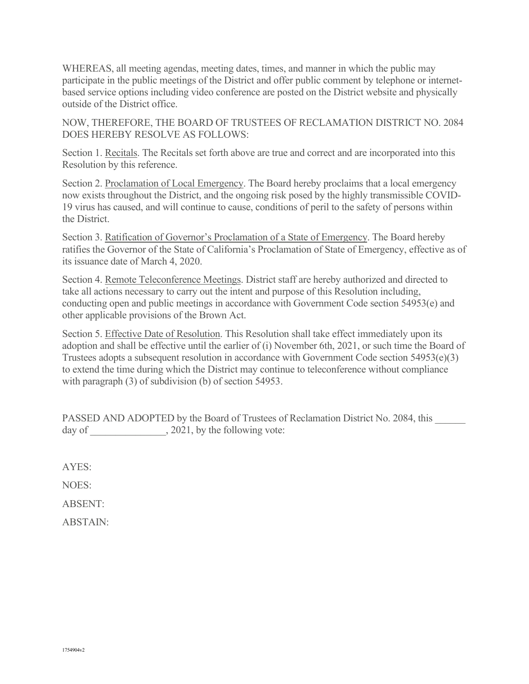WHEREAS, all meeting agendas, meeting dates, times, and manner in which the public may participate in the public meetings of the District and offer public comment by telephone or internetbased service options including video conference are posted on the District website and physically outside of the District office.

NOW, THEREFORE, THE BOARD OF TRUSTEES OF RECLAMATION DISTRICT NO. 2084 DOES HEREBY RESOLVE AS FOLLOWS:

Section 1. Recitals. The Recitals set forth above are true and correct and are incorporated into this Resolution by this reference.

Section 2. Proclamation of Local Emergency. The Board hereby proclaims that a local emergency now exists throughout the District, and the ongoing risk posed by the highly transmissible COVID-19 virus has caused, and will continue to cause, conditions of peril to the safety of persons within the District.

Section 3. Ratification of Governor's Proclamation of a State of Emergency. The Board hereby ratifies the Governor of the State of California's Proclamation of State of Emergency, effective as of its issuance date of March 4, 2020.

Section 4. Remote Teleconference Meetings. District staff are hereby authorized and directed to take all actions necessary to carry out the intent and purpose of this Resolution including, conducting open and public meetings in accordance with Government Code section 54953(e) and other applicable provisions of the Brown Act.

Section 5. Effective Date of Resolution. This Resolution shall take effect immediately upon its adoption and shall be effective until the earlier of (i) November 6th, 2021, or such time the Board of Trustees adopts a subsequent resolution in accordance with Government Code section 54953(e)(3) to extend the time during which the District may continue to teleconference without compliance with paragraph (3) of subdivision (b) of section 54953.

PASSED AND ADOPTED by the Board of Trustees of Reclamation District No. 2084, this day of \_\_\_\_\_\_\_\_\_\_\_\_\_\_, 2021, by the following vote:

AYES:

NOES:

ABSENT:

ABSTAIN: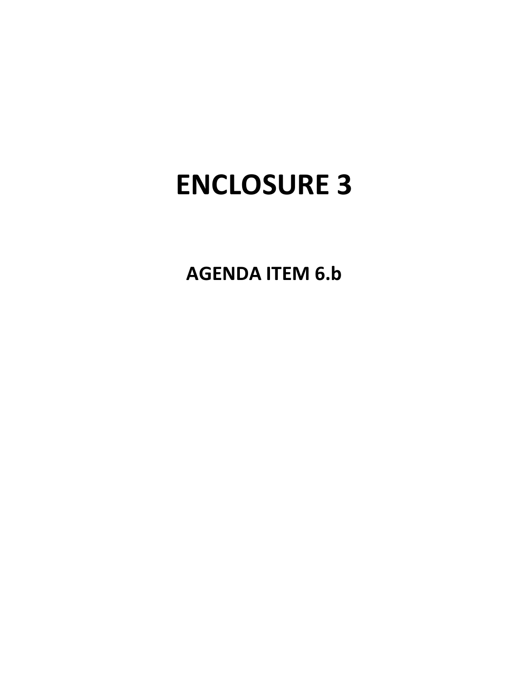**AGENDA ITEM 6.b**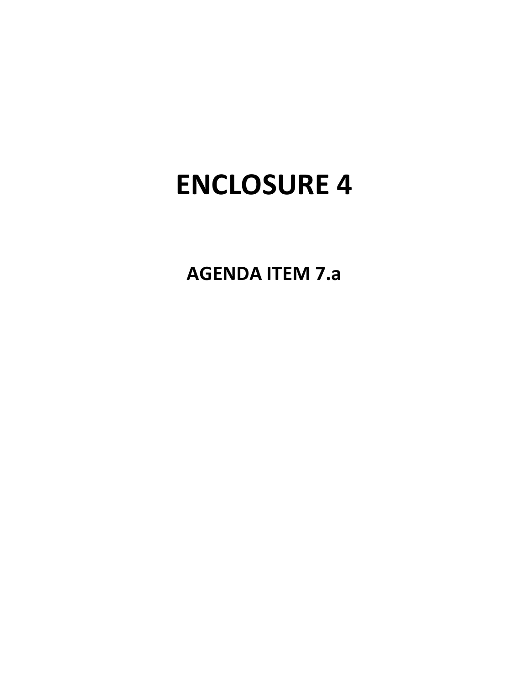**AGENDA ITEM 7.a**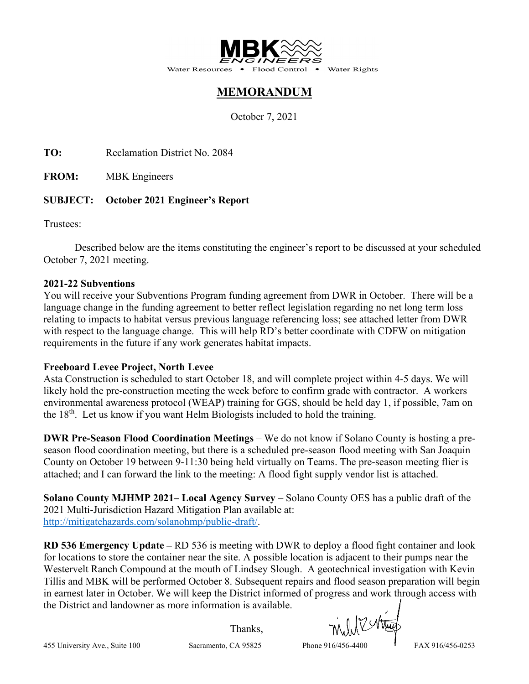

Water Rights

## **MEMORANDUM**

October 7, 2021

TO: Reclamation District No. 2084

**FROM:** MBK Engineers

## **SUBJECT: October 2021 Engineer's Report**

Trustees:

Described below are the items constituting the engineer's report to be discussed at your scheduled October 7, 2021 meeting.

## **2021-22 Subventions**

You will receive your Subventions Program funding agreement from DWR in October. There will be a language change in the funding agreement to better reflect legislation regarding no net long term loss relating to impacts to habitat versus previous language referencing loss; see attached letter from DWR with respect to the language change. This will help RD's better coordinate with CDFW on mitigation requirements in the future if any work generates habitat impacts.

## **Freeboard Levee Project, North Levee**

Asta Construction is scheduled to start October 18, and will complete project within 4-5 days. We will likely hold the pre-construction meeting the week before to confirm grade with contractor. A workers environmental awareness protocol (WEAP) training for GGS, should be held day 1, if possible, 7am on the  $18<sup>th</sup>$ . Let us know if you want Helm Biologists included to hold the training.

**DWR Pre-Season Flood Coordination Meetings** – We do not know if Solano County is hosting a preseason flood coordination meeting, but there is a scheduled pre-season flood meeting with San Joaquin County on October 19 between 9-11:30 being held virtually on Teams. The pre-season meeting flier is attached; and I can forward the link to the meeting: A flood fight supply vendor list is attached.

**Solano County MJHMP 2021– Local Agency Survey** – Solano County OES has a public draft of the 2021 Multi-Jurisdiction Hazard Mitigation Plan available at: [http://mitigatehazards.com/solanohmp/public-draft/.](http://mitigatehazards.com/solanohmp/public-draft/)

**RD 536 Emergency Update –** RD 536 is meeting with DWR to deploy a flood fight container and look for locations to store the container near the site. A possible location is adjacent to their pumps near the Westervelt Ranch Compound at the mouth of Lindsey Slough. A geotechnical investigation with Kevin Tillis and MBK will be performed October 8. Subsequent repairs and flood season preparation will begin in earnest later in October. We will keep the District informed of progress and work through access with the District and landowner as more information is available.

Thanks,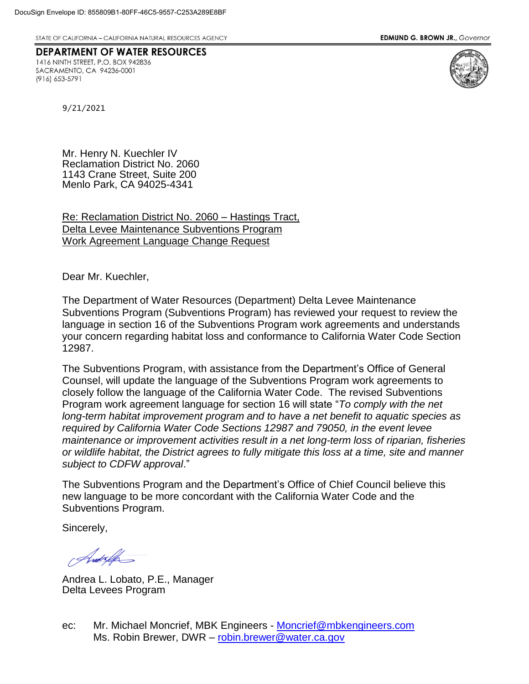STATE OF CALIFORNIA - CALIFORNIA NATURAL RESOURCES AGENCY

**EDMUND G. BROWN JR., Governor** 

## **DEPARTMENT OF WATER RESOURCES**

1416 NINTH STREET, P.O. BOX 942836 SACRAMENTO, CA 94236-0001 (916) 653-5791



9/21/2021

Mr. Henry N. Kuechler IV Reclamation District No. 2060 1143 Crane Street, Suite 200 Menlo Park, CA 94025-4341

Re: Reclamation District No. 2060 – Hastings Tract, Delta Levee Maintenance Subventions Program Work Agreement Language Change Request

Dear Mr. Kuechler,

The Department of Water Resources (Department) Delta Levee Maintenance Subventions Program (Subventions Program) has reviewed your request to review the language in section 16 of the Subventions Program work agreements and understands your concern regarding habitat loss and conformance to California Water Code Section 12987.

The Subventions Program, with assistance from the Department's Office of General Counsel, will update the language of the Subventions Program work agreements to closely follow the language of the California Water Code. The revised Subventions Program work agreement language for section 16 will state "*To comply with the net long-term habitat improvement program and to have a net benefit to aquatic species as required by California Water Code Sections 12987 and 79050, in the event levee maintenance or improvement activities result in a net long-term loss of riparian, fisheries or wildlife habitat, the District agrees to fully mitigate this loss at a time, site and manner subject to CDFW approval*."

The Subventions Program and the Department's Office of Chief Council believe this new language to be more concordant with the California Water Code and the Subventions Program.

Sincerely,

Andrello

Andrea L. Lobato, P.E., Manager Delta Levees Program

ec: Mr. Michael Moncrief, MBK Engineers - [Moncrief@mbkengineers.com](mailto:Moncrief@mbkengineers.com) Ms. Robin Brewer, DWR - [robin.brewer@water.ca.gov](mailto:robin.brewer@water.ca.gov)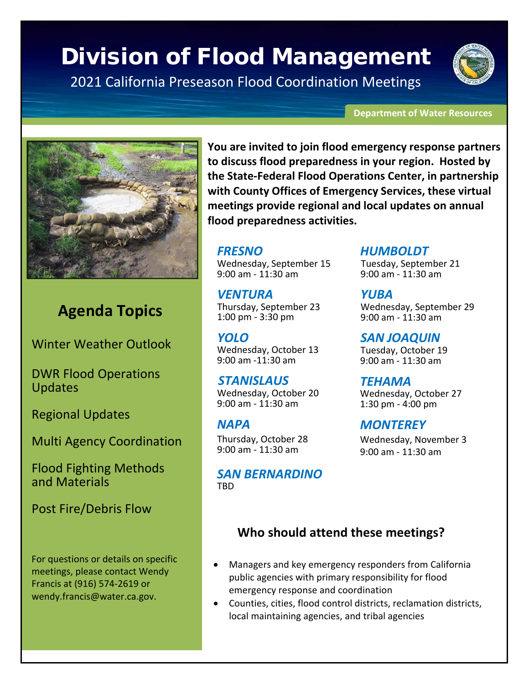## Division of Flood Management

2021 California Preseason Flood Coordination Meetings

#### **Department of Water Resources**



## **Agenda Topics**

Winter Weather Outlook

DWR Flood Operations Updates

Regional Updates

Multi Agency Coordination

Flood Fighting Methods and Materials

Post Fire/Debris Flow

For questions or details on specific meetings, please contact Wendy Francis at (916) 574-2619 or wendy.francis@water.ca.gov.

**You are invited to join flood emergency response partners to discuss flood preparedness in your region. Hosted by the State-Federal Flood Operations Center, in partnership with County Offices of Emergency Services, these virtual meetings provide regional and local updates on annual flood preparedness activities.** 

## *FRESNO*

Wednesday, September 15 9:00 am - 11:30 am

*VENTURA* Thursday, September 23 1:00 pm - 3:30 pm

*YOLO*  Wednesday, October 13 9:00 am -11:30 am

*STANISLAUS* Wednesday, October 20 9:00 am - 11:30 am

## *NAPA*

Thursday, October 28 9:00 am - 11:30 am

*SAN BERNARDINO* TBD

## *HUMBOLDT*

Tuesday, September 21 9:00 am - 11:30 am

*YUBA* Wednesday, September 29 9:00 am - 11:30 am

*SAN JOAQUIN* Tuesday, October 19 9:00 am - 11:30 am

*TEHAMA* Wednesday, October 27 1:30 pm - 4:00 pm

*MONTEREY* Wednesday, November 3 9:00 am - 11:30 am

## **Who should attend these meetings?**

- Managers and key emergency responders from California public agencies with primary responsibility for flood emergency response and coordination
- Counties, cities, flood control districts, reclamation districts, local maintaining agencies, and tribal agencies

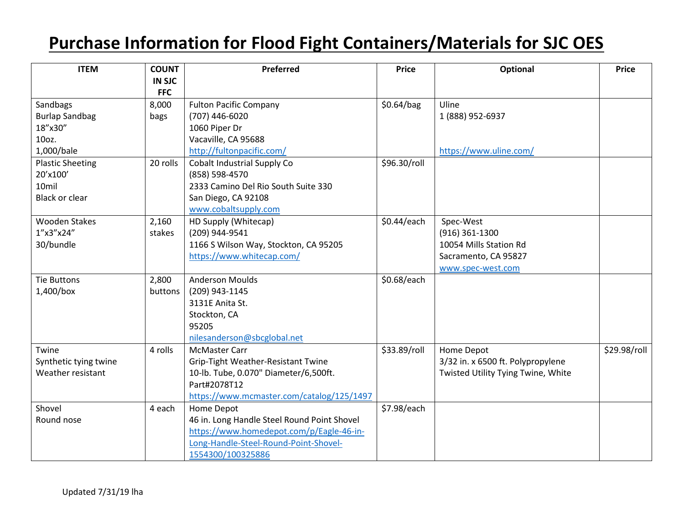## **Purchase Information for Flood Fight Containers/Materials for SJC OES**

| <b>ITEM</b>             | <b>COUNT</b>  | Preferred                                   | <b>Price</b> | <b>Optional</b>                    | <b>Price</b> |
|-------------------------|---------------|---------------------------------------------|--------------|------------------------------------|--------------|
|                         | <b>IN SJC</b> |                                             |              |                                    |              |
|                         | <b>FFC</b>    |                                             |              |                                    |              |
| Sandbags                | 8,000         | <b>Fulton Pacific Company</b>               | \$0.64/bag   | Uline                              |              |
| <b>Burlap Sandbag</b>   | bags          | (707) 446-6020                              |              | 1 (888) 952-6937                   |              |
| 18"x30"                 |               | 1060 Piper Dr                               |              |                                    |              |
| 10oz.                   |               | Vacaville, CA 95688                         |              |                                    |              |
| 1,000/bale              |               | http://fultonpacific.com/                   |              | https://www.uline.com/             |              |
| <b>Plastic Sheeting</b> | 20 rolls      | Cobalt Industrial Supply Co                 | \$96.30/roll |                                    |              |
| 20'x100'                |               | (858) 598-4570                              |              |                                    |              |
| 10mil                   |               | 2333 Camino Del Rio South Suite 330         |              |                                    |              |
| <b>Black or clear</b>   |               | San Diego, CA 92108                         |              |                                    |              |
|                         |               | www.cobaltsupply.com                        |              |                                    |              |
| <b>Wooden Stakes</b>    | 2,160         | HD Supply (Whitecap)                        | \$0.44/each  | Spec-West                          |              |
| 1"x3"x24"               | stakes        | (209) 944-9541                              |              | $(916)$ 361-1300                   |              |
| 30/bundle               |               | 1166 S Wilson Way, Stockton, CA 95205       |              | 10054 Mills Station Rd             |              |
|                         |               | https://www.whitecap.com/                   |              | Sacramento, CA 95827               |              |
|                         |               |                                             |              | www.spec-west.com                  |              |
| <b>Tie Buttons</b>      | 2,800         | <b>Anderson Moulds</b>                      | \$0.68/each  |                                    |              |
| 1,400/box               | buttons       | (209) 943-1145                              |              |                                    |              |
|                         |               | 3131E Anita St.                             |              |                                    |              |
|                         |               | Stockton, CA                                |              |                                    |              |
|                         |               | 95205                                       |              |                                    |              |
|                         |               | nilesanderson@sbcglobal.net                 |              |                                    |              |
| Twine                   | 4 rolls       | <b>McMaster Carr</b>                        | \$33.89/roll | Home Depot                         | \$29.98/roll |
| Synthetic tying twine   |               | Grip-Tight Weather-Resistant Twine          |              | 3/32 in. x 6500 ft. Polypropylene  |              |
| Weather resistant       |               | 10-lb. Tube, 0.070" Diameter/6,500ft.       |              | Twisted Utility Tying Twine, White |              |
|                         |               | Part#2078T12                                |              |                                    |              |
|                         |               | https://www.mcmaster.com/catalog/125/1497   |              |                                    |              |
| Shovel                  | 4 each        | Home Depot                                  | \$7.98/each  |                                    |              |
| Round nose              |               | 46 in. Long Handle Steel Round Point Shovel |              |                                    |              |
|                         |               | https://www.homedepot.com/p/Eagle-46-in-    |              |                                    |              |
|                         |               | Long-Handle-Steel-Round-Point-Shovel-       |              |                                    |              |
|                         |               | 1554300/100325886                           |              |                                    |              |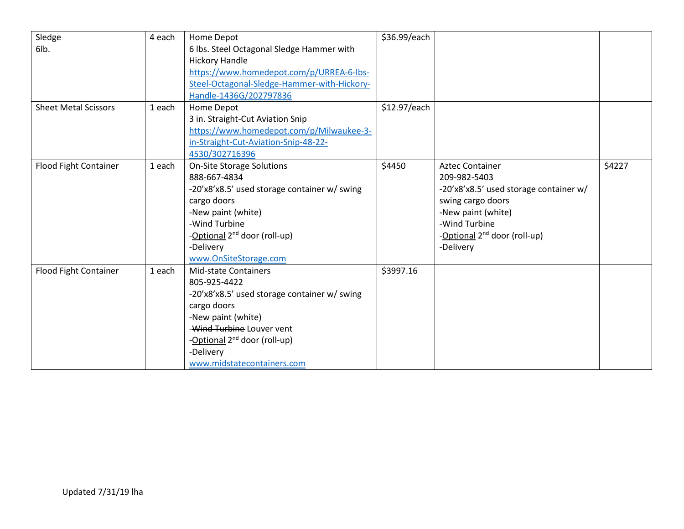| Sledge                       | 4 each | Home Depot                                   | \$36.99/each |                                          |        |
|------------------------------|--------|----------------------------------------------|--------------|------------------------------------------|--------|
| 6lb.                         |        | 6 lbs. Steel Octagonal Sledge Hammer with    |              |                                          |        |
|                              |        | <b>Hickory Handle</b>                        |              |                                          |        |
|                              |        | https://www.homedepot.com/p/URREA-6-lbs-     |              |                                          |        |
|                              |        | Steel-Octagonal-Sledge-Hammer-with-Hickory-  |              |                                          |        |
|                              |        | Handle-1436G/202797836                       |              |                                          |        |
| <b>Sheet Metal Scissors</b>  | 1 each | Home Depot                                   | \$12.97/each |                                          |        |
|                              |        | 3 in. Straight-Cut Aviation Snip             |              |                                          |        |
|                              |        | https://www.homedepot.com/p/Milwaukee-3-     |              |                                          |        |
|                              |        | in-Straight-Cut-Aviation-Snip-48-22-         |              |                                          |        |
|                              |        | 4530/302716396                               |              |                                          |        |
| Flood Fight Container        | 1 each | <b>On-Site Storage Solutions</b>             | \$4450       | <b>Aztec Container</b>                   | \$4227 |
|                              |        | 888-667-4834                                 |              | 209-982-5403                             |        |
|                              |        | -20'x8'x8.5' used storage container w/ swing |              | -20'x8'x8.5' used storage container w/   |        |
|                              |        | cargo doors                                  |              | swing cargo doors                        |        |
|                              |        | -New paint (white)                           |              | -New paint (white)                       |        |
|                              |        | -Wind Turbine                                |              | -Wind Turbine                            |        |
|                              |        | -Optional 2 <sup>nd</sup> door (roll-up)     |              | -Optional 2 <sup>nd</sup> door (roll-up) |        |
|                              |        | -Delivery                                    |              | -Delivery                                |        |
|                              |        | www.OnSiteStorage.com                        |              |                                          |        |
| <b>Flood Fight Container</b> | 1 each | <b>Mid-state Containers</b>                  | \$3997.16    |                                          |        |
|                              |        | 805-925-4422                                 |              |                                          |        |
|                              |        | -20'x8'x8.5' used storage container w/ swing |              |                                          |        |
|                              |        | cargo doors                                  |              |                                          |        |
|                              |        | -New paint (white)                           |              |                                          |        |
|                              |        | -Wind Turbine Louver vent                    |              |                                          |        |
|                              |        | -Optional 2 <sup>nd</sup> door (roll-up)     |              |                                          |        |
|                              |        | -Delivery                                    |              |                                          |        |
|                              |        | www.midstatecontainers.com                   |              |                                          |        |